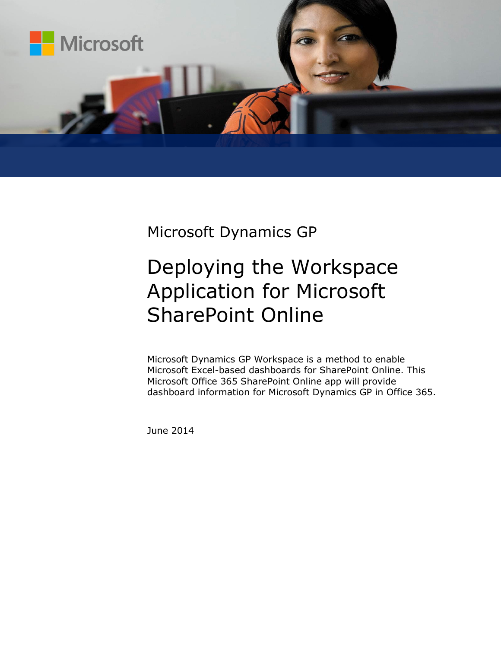

Microsoft Dynamics GP

# Deploying the Workspace Application for Microsoft SharePoint Online

Microsoft Dynamics GP Workspace is a method to enable Microsoft Excel-based dashboards for SharePoint Online. This Microsoft Office 365 SharePoint Online app will provide dashboard information for Microsoft Dynamics GP in Office 365.

June 2014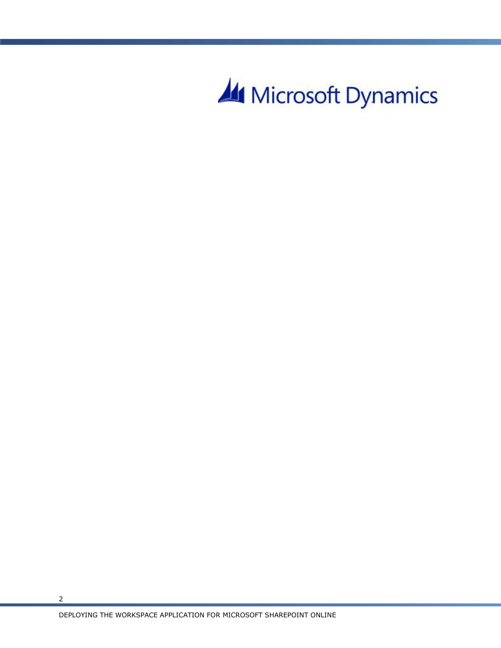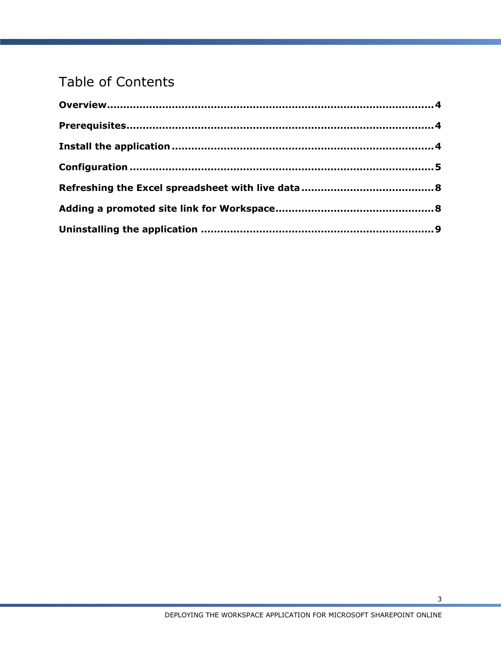## Table of Contents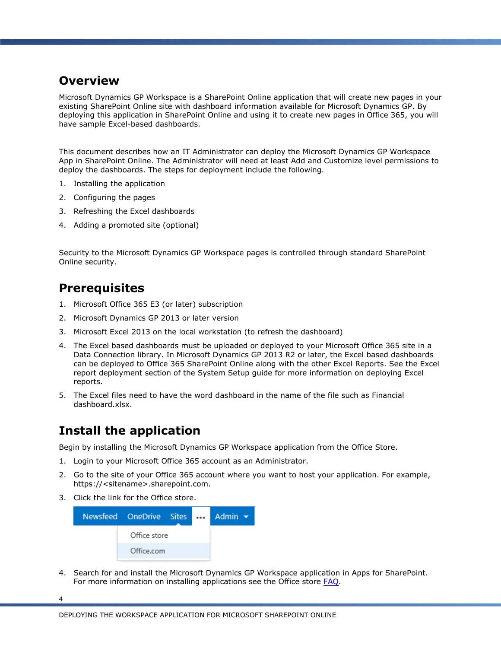#### <span id="page-3-0"></span>**Overview**

Microsoft Dynamics GP Workspace is a SharePoint Online application that will create new pages in your existing SharePoint Online site with dashboard information available for Microsoft Dynamics GP. By deploying this application in SharePoint Online and using it to create new pages in Office 365, you will have sample Excel-based dashboards.

This document describes how an IT Administrator can deploy the Microsoft Dynamics GP Workspace App in SharePoint Online. The Administrator will need at least Add and Customize level permissions to deploy the dashboards. The steps for deployment include the following.

- 1. Installing the application
- 2. Configuring the pages
- 3. Refreshing the Excel dashboards
- 4. Adding a promoted site (optional)

Security to the Microsoft Dynamics GP Workspace pages is controlled through standard SharePoint Online security.

#### <span id="page-3-1"></span>**Prerequisites**

- 1. Microsoft Office 365 E3 (or later) subscription
- 2. Microsoft Dynamics GP 2013 or later version
- 3. Microsoft Excel 2013 on the local workstation (to refresh the dashboard)
- 4. The Excel based dashboards must be uploaded or deployed to your Microsoft Office 365 site in a Data Connection library. In Microsoft Dynamics GP 2013 R2 or later, the Excel based dashboards can be deployed to Office 365 SharePoint Online along with the other Excel Reports. See the Excel report deployment section of the System Setup guide for more information on deploying Excel reports.
- 5. The Excel files need to have the word dashboard in the name of the file such as Financial dashboard.xlsx.

### <span id="page-3-2"></span>**Install the application**

Begin by installing the Microsoft Dynamics GP Workspace application from the Office Store.

- 1. Login to your Microsoft Office 365 account as an Administrator.
- 2. Go to the site of your Office 365 account where you want to host your application. For example, https://<sitename>.sharepoint.com.
- 3. Click the link for the Office store.



4. Search for and install the Microsoft Dynamics GP Workspace application in Apps for SharePoint. For more information on installing applications see the Office store **FAQ**.

4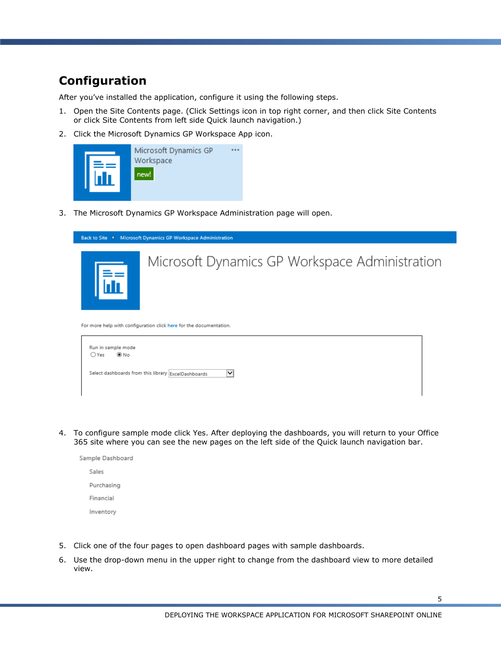#### <span id="page-4-0"></span>**Configuration**

After you've installed the application, configure it using the following steps.

- 1. Open the Site Contents page. (Click Settings icon in top right corner, and then click Site Contents or click Site Contents from left side Quick launch navigation.)
- 2. Click the Microsoft Dynamics GP Workspace App icon.



3. The Microsoft Dynamics GP Workspace Administration page will open.



| Run in sample mode<br>$@$ No<br>OYes                                |  |
|---------------------------------------------------------------------|--|
| Select dashboards from this library ExcelDashboards<br>$\checkmark$ |  |

4. To configure sample mode click Yes. After deploying the dashboards, you will return to your Office 365 site where you can see the new pages on the left side of the Quick launch navigation bar.



- 5. Click one of the four pages to open dashboard pages with sample dashboards.
- 6. Use the drop-down menu in the upper right to change from the dashboard view to more detailed view.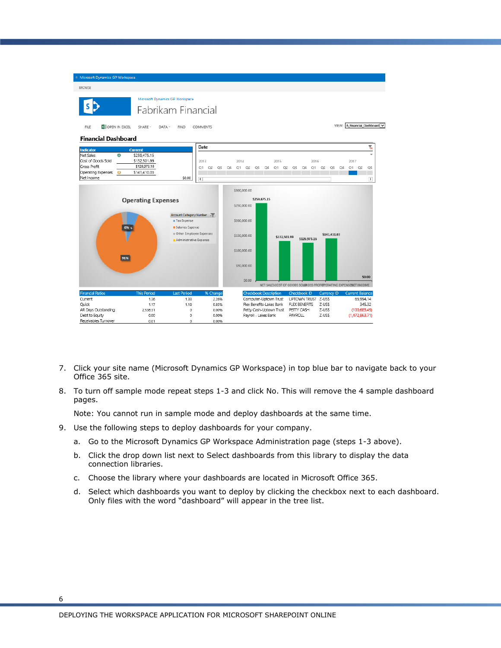

- 7. Click your site name (Microsoft Dynamics GP Workspace) in top blue bar to navigate back to your Office 365 site.
- 8. To turn off sample mode repeat steps 1-3 and click No. This will remove the 4 sample dashboard pages.

Note: You cannot run in sample mode and deploy dashboards at the same time.

- 9. Use the following steps to deploy dashboards for your company.
	- a. Go to the Microsoft Dynamics GP Workspace Administration page (steps 1-3 above).
	- b. Click the drop down list next to Select dashboards from this library to display the data connection libraries.
	- c. Choose the library where your dashboards are located in Microsoft Office 365.
	- d. Select which dashboards you want to deploy by clicking the checkbox next to each dashboard. Only files with the word "dashboard" will appear in the tree list.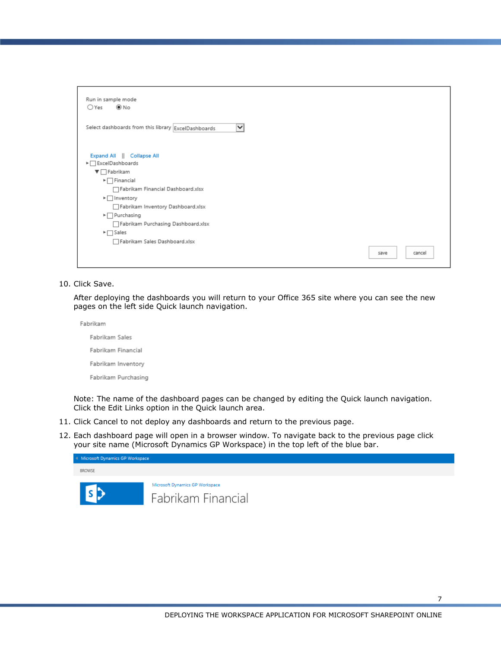| Run in sample mode                                       |                |
|----------------------------------------------------------|----------------|
| ⊛ No<br>$O$ Yes                                          |                |
|                                                          |                |
| Select dashboards from this library ExcelDashboards<br>◡ |                |
| Expand All   Collapse All<br>▶ BxcelDashboards           |                |
| $\nabla$ Fabrikam                                        |                |
| $\blacktriangleright$ $\Box$ Financial                   |                |
| Fabrikam Financial Dashboard.xlsx                        |                |
| $\blacktriangleright$ $\Box$ Inventory                   |                |
| Fabrikam Inventory Dashboard.xlsx                        |                |
| $\blacktriangleright$ Purchasing                         |                |
| Fabrikam Purchasing Dashboard.xlsx                       |                |
| $\blacktriangleright \square$ Sales                      |                |
| Fabrikam Sales Dashboard.xlsx                            |                |
|                                                          | cancel<br>save |
|                                                          |                |

#### 10. Click Save.

After deploying the dashboards you will return to your Office 365 site where you can see the new pages on the left side Quick launch navigation.

Fabrikam Fabrikam Sales Fabrikam Financial Fabrikam Inventory Fabrikam Purchasing

Note: The name of the dashboard pages can be changed by editing the Quick launch navigation. Click the Edit Links option in the Quick launch area.

- 11. Click Cancel to not deploy any dashboards and return to the previous page.
- 12. Each dashboard page will open in a browser window. To navigate back to the previous page click your site name (Microsoft Dynamics GP Workspace) in the top left of the blue bar.

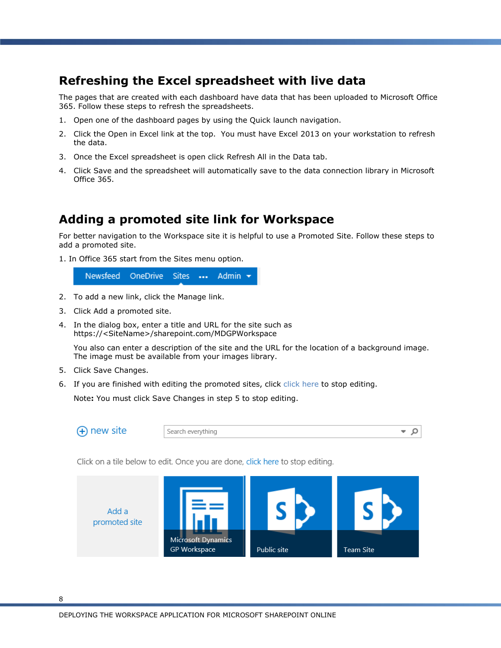#### <span id="page-7-0"></span>**Refreshing the Excel spreadsheet with live data**

The pages that are created with each dashboard have data that has been uploaded to Microsoft Office 365. Follow these steps to refresh the spreadsheets.

- 1. Open one of the dashboard pages by using the Quick launch navigation.
- 2. Click the Open in Excel link at the top. You must have Excel 2013 on your workstation to refresh the data.
- 3. Once the Excel spreadsheet is open click Refresh All in the Data tab.
- 4. Click Save and the spreadsheet will automatically save to the data connection library in Microsoft Office 365.

#### <span id="page-7-1"></span>**Adding a promoted site link for Workspace**

For better navigation to the Workspace site it is helpful to use a Promoted Site. Follow these steps to add a promoted site.

1. In Office 365 start from the Sites menu option.

Newsfeed OneDrive Sites ... Admin  $\rightarrow$ 

- 2. To add a new link, click the Manage link.
- 3. Click Add a promoted site.
- 4. In the dialog box, enter a title and URL for the site such as https://<SiteName>/sharepoint.com/MDGPWorkspace

You also can enter a description of the site and the URL for the location of a background image. The image must be available from your images library.

- 5. Click Save Changes.
- 6. If you are finished with editing the promoted sites, click click here to stop editing.

Note**:** You must click Save Changes in step 5 to stop editing.

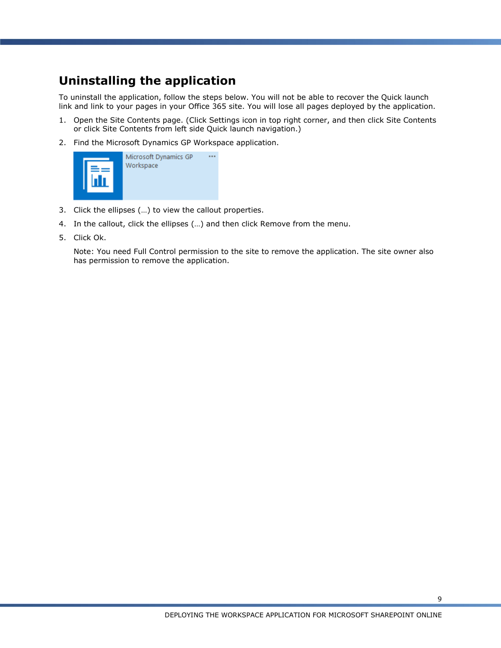#### <span id="page-8-0"></span>**Uninstalling the application**

To uninstall the application, follow the steps below. You will not be able to recover the Quick launch link and link to your pages in your Office 365 site. You will lose all pages deployed by the application.

- 1. Open the Site Contents page. (Click Settings icon in top right corner, and then click Site Contents or click Site Contents from left side Quick launch navigation.)
- 2. Find the Microsoft Dynamics GP Workspace application.



- 3. Click the ellipses (…) to view the callout properties.
- 4. In the callout, click the ellipses (…) and then click Remove from the menu.
- 5. Click Ok.

Note: You need Full Control permission to the site to remove the application. The site owner also has permission to remove the application.